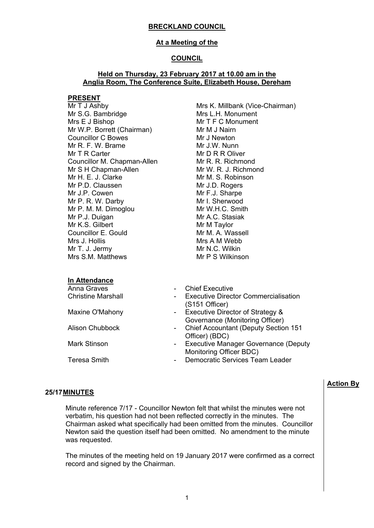# **At a Meeting of the**

# **COUNCIL**

## **Held on Thursday, 23 February 2017 at 10.00 am in the Anglia Room, The Conference Suite, Elizabeth House, Dereham**

#### **PRESENT**

Mr T J Ashby Mr S.G. Bambridge Mrs E J Bishop Mr W.P. Borrett (Chairman) Councillor C Bowes Mr R. F. W. Brame Mr T R Carter Councillor M. Chapman-Allen Mr S H Chapman-Allen Mr H. E. J. Clarke Mr P.D. Claussen Mr J.P. Cowen Mr P. R. W. Darby Mr P. M. M. Dimoglou Mr P.J. Duigan Mr K.S. Gilbert Councillor E. Gould Mrs J. Hollis Mr T. J. Jermy Mrs S.M. Matthews

Mrs K. Millbank (Vice-Chairman) Mrs L.H. Monument Mr T F C Monument Mr M J Nairn Mr J Newton Mr J.W. Nunn Mr D R R Oliver Mr R. R. Richmond Mr W. R. J. Richmond Mr M. S. Robinson Mr J.D. Rogers Mr F.J. Sharpe Mr I. Sherwood Mr W.H.C. Smith Mr A.C. Stasiak Mr M Taylor Mr M. A. Wassell Mrs A M Webb Mr N.C. Wilkin Mr P S Wilkinson

# **In Attendance**

| Anna Graves               |                  | <b>Chief Executive</b>                                                |
|---------------------------|------------------|-----------------------------------------------------------------------|
| <b>Christine Marshall</b> | $\sim$           | <b>Executive Director Commercialisation</b><br>(S151 Officer)         |
| Maxine O'Mahony           |                  | - Executive Director of Strategy &<br>Governance (Monitoring Officer) |
| <b>Alison Chubbock</b>    |                  | - Chief Accountant (Deputy Section 151<br>Officer) (BDC)              |
| <b>Mark Stinson</b>       |                  | - Executive Manager Governance (Deputy<br>Monitoring Officer BDC)     |
| Teresa Smith              | $\sim$ 100 $\mu$ | Democratic Services Team Leader                                       |
|                           |                  |                                                                       |

# **25/17MINUTES**

Minute reference 7/17 - Councillor Newton felt that whilst the minutes were not verbatim, his question had not been reflected correctly in the minutes. The Chairman asked what specifically had been omitted from the minutes. Councillor Newton said the question itself had been omitted. No amendment to the minute was requested.

The minutes of the meeting held on 19 January 2017 were confirmed as a correct record and signed by the Chairman.

# **Action By**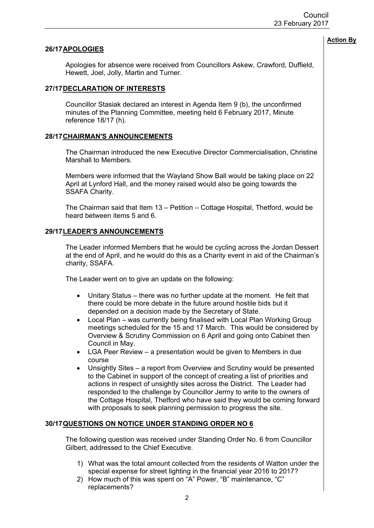## **26/17APOLOGIES**

Apologies for absence were received from Councillors Askew, Crawford, Duffield, Hewett, Joel, Jolly, Martin and Turner.

#### **27/17DECLARATION OF INTERESTS**

Councillor Stasiak declared an interest in Agenda Item 9 (b), the unconfirmed minutes of the Planning Committee, meeting held 6 February 2017, Minute reference 18/17 (h).

## **28/17CHAIRMAN'S ANNOUNCEMENTS**

The Chairman introduced the new Executive Director Commercialisation, Christine Marshall to Members.

Members were informed that the Wayland Show Ball would be taking place on 22 April at Lynford Hall, and the money raised would also be going towards the SSAFA Charity.

The Chairman said that Item 13 – Petition – Cottage Hospital, Thetford, would be heard between items 5 and 6.

## **29/17LEADER'S ANNOUNCEMENTS**

The Leader informed Members that he would be cycling across the Jordan Dessert at the end of April, and he would do this as a Charity event in aid of the Chairman's charity, SSAFA.

The Leader went on to give an update on the following:

- Unitary Status there was no further update at the moment. He felt that there could be more debate in the future around hostile bids but it depended on a decision made by the Secretary of State.
- Local Plan was currently being finalised with Local Plan Working Group meetings scheduled for the 15 and 17 March. This would be considered by Overview & Scrutiny Commission on 6 April and going onto Cabinet then Council in May.
- LGA Peer Review a presentation would be given to Members in due course
- Unsightly Sites a report from Overview and Scrutiny would be presented to the Cabinet in support of the concept of creating a list of priorities and actions in respect of unsightly sites across the District. The Leader had responded to the challenge by Councillor Jermy to write to the owners of the Cottage Hospital, Thetford who have said they would be coming forward with proposals to seek planning permission to progress the site.

# **30/17QUESTIONS ON NOTICE UNDER STANDING ORDER NO 6**

The following question was received under Standing Order No. 6 from Councillor Gilbert, addressed to the Chief Executive.

- 1) What was the total amount collected from the residents of Watton under the special expense for street lighting in the financial year 2016 to 2017?
- 2) How much of this was spent on "A" Power, "B" maintenance, "C" replacements?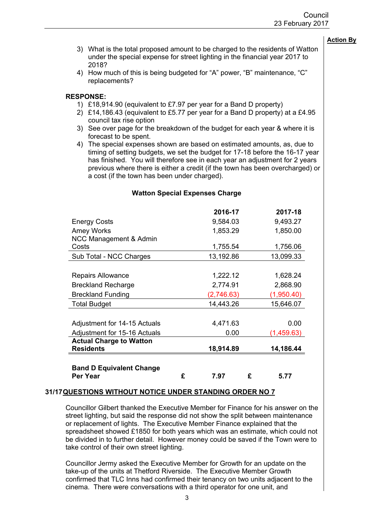- 3) What is the total proposed amount to be charged to the residents of Watton under the special expense for street lighting in the financial year 2017 to 2018?
- 4) How much of this is being budgeted for "A" power, "B" maintenance, "C" replacements?

# **RESPONSE:**

- 1) £18,914.90 (equivalent to £7.97 per year for a Band D property)
- 2) £14,186.43 (equivalent to £5.77 per year for a Band D property) at a £4.95 council tax rise option
- 3) See over page for the breakdown of the budget for each year & where it is forecast to be spent.
- 4) The special expenses shown are based on estimated amounts, as, due to timing of setting budgets, we set the budget for 17-18 before the 16-17 year has finished. You will therefore see in each year an adjustment for 2 years previous where there is either a credit (if the town has been overcharged) or a cost (if the town has been under charged).

|                                 |   | 2016-17    |   | 2017-18    |
|---------------------------------|---|------------|---|------------|
| <b>Energy Costs</b>             |   | 9,584.03   |   | 9,493.27   |
| <b>Amey Works</b>               |   | 1,853.29   |   | 1,850.00   |
| NCC Management & Admin          |   |            |   |            |
| Costs                           |   | 1,755.54   |   | 1,756.06   |
| Sub Total - NCC Charges         |   | 13,192.86  |   | 13,099.33  |
|                                 |   |            |   |            |
| <b>Repairs Allowance</b>        |   | 1,222.12   |   | 1,628.24   |
| <b>Breckland Recharge</b>       |   | 2,774.91   |   | 2,868.90   |
| <b>Breckland Funding</b>        |   | (2,746.63) |   | (1,950.40) |
| <b>Total Budget</b>             |   | 14,443.26  |   | 15,646.07  |
|                                 |   |            |   |            |
| Adjustment for 14-15 Actuals    |   | 4,471.63   |   | 0.00       |
| Adjustment for 15-16 Actuals    |   | 0.00       |   | (1,459.63) |
| <b>Actual Charge to Watton</b>  |   |            |   |            |
| <b>Residents</b>                |   | 18,914.89  |   | 14,186.44  |
|                                 |   |            |   |            |
| <b>Band D Equivalent Change</b> |   |            |   |            |
| Per Year                        | £ | 7.97       | £ | 5.77       |

## **Watton Special Expenses Charge**

#### **31/17QUESTIONS WITHOUT NOTICE UNDER STANDING ORDER NO 7**

Councillor Gilbert thanked the Executive Member for Finance for his answer on the street lighting, but said the response did not show the split between maintenance or replacement of lights. The Executive Member Finance explained that the spreadsheet showed £1850 for both years which was an estimate, which could not be divided in to further detail. However money could be saved if the Town were to take control of their own street lighting.

Councillor Jermy asked the Executive Member for Growth for an update on the take-up of the units at Thetford Riverside. The Executive Member Growth confirmed that TLC Inns had confirmed their tenancy on two units adjacent to the cinema. There were conversations with a third operator for one unit, and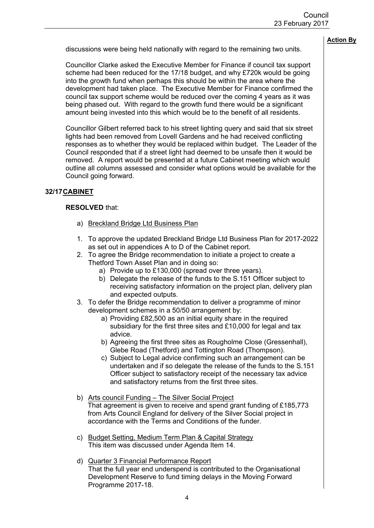discussions were being held nationally with regard to the remaining two units.

Councillor Clarke asked the Executive Member for Finance if council tax support scheme had been reduced for the 17/18 budget, and why £720k would be going into the growth fund when perhaps this should be within the area where the development had taken place. The Executive Member for Finance confirmed the council tax support scheme would be reduced over the coming 4 years as it was being phased out. With regard to the growth fund there would be a significant amount being invested into this which would be to the benefit of all residents.

Councillor Gilbert referred back to his street lighting query and said that six street lights had been removed from Lovell Gardens and he had received conflicting responses as to whether they would be replaced within budget. The Leader of the Council responded that if a street light had deemed to be unsafe then it would be removed. A report would be presented at a future Cabinet meeting which would outline all columns assessed and consider what options would be available for the Council going forward.

# **32/17CABINET**

# **RESOLVED** that:

- a) Breckland Bridge Ltd Business Plan
- 1. To approve the updated Breckland Bridge Ltd Business Plan for 2017-2022 as set out in appendices A to D of the Cabinet report.
- 2. To agree the Bridge recommendation to initiate a project to create a Thetford Town Asset Plan and in doing so:
	- a) Provide up to £130,000 (spread over three years).
	- b) Delegate the release of the funds to the S.151 Officer subject to receiving satisfactory information on the project plan, delivery plan and expected outputs.
- 3. To defer the Bridge recommendation to deliver a programme of minor development schemes in a 50/50 arrangement by:
	- a) Providing £82,500 as an initial equity share in the required subsidiary for the first three sites and £10,000 for legal and tax advice.
	- b) Agreeing the first three sites as Rougholme Close (Gressenhall), Glebe Road (Thetford) and Tottington Road (Thompson).
	- c) Subject to Legal advice confirming such an arrangement can be undertaken and if so delegate the release of the funds to the S.151 Officer subject to satisfactory receipt of the necessary tax advice and satisfactory returns from the first three sites.
- b) Arts council Funding The Silver Social Project That agreement is given to receive and spend grant funding of £185,773 from Arts Council England for delivery of the Silver Social project in accordance with the Terms and Conditions of the funder.
- c) Budget Setting, Medium Term Plan & Capital Strategy This item was discussed under Agenda Item 14.
- d) Quarter 3 Financial Performance Report That the full year end underspend is contributed to the Organisational Development Reserve to fund timing delays in the Moving Forward Programme 2017-18.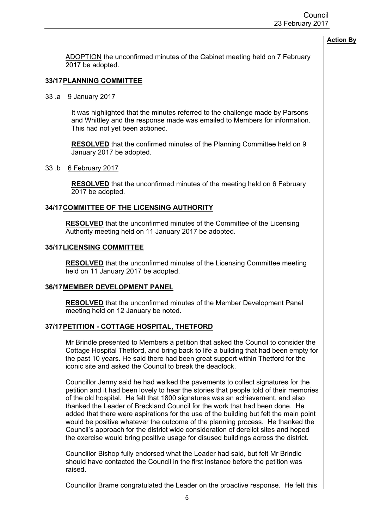ADOPTION the unconfirmed minutes of the Cabinet meeting held on 7 February 2017 be adopted.

#### **33/17PLANNING COMMITTEE**

#### 33 .a 9 January 2017

It was highlighted that the minutes referred to the challenge made by Parsons and Whittley and the response made was emailed to Members for information. This had not yet been actioned.

**RESOLVED** that the confirmed minutes of the Planning Committee held on 9 January 2017 be adopted.

#### 33 .b 6 February 2017

**RESOLVED** that the unconfirmed minutes of the meeting held on 6 February 2017 be adopted.

#### **34/17COMMITTEE OF THE LICENSING AUTHORITY**

**RESOLVED** that the unconfirmed minutes of the Committee of the Licensing Authority meeting held on 11 January 2017 be adopted.

#### **35/17LICENSING COMMITTEE**

**RESOLVED** that the unconfirmed minutes of the Licensing Committee meeting held on 11 January 2017 be adopted.

#### **36/17MEMBER DEVELOPMENT PANEL**

**RESOLVED** that the unconfirmed minutes of the Member Development Panel meeting held on 12 January be noted.

## **37/17PETITION - COTTAGE HOSPITAL, THETFORD**

Mr Brindle presented to Members a petition that asked the Council to consider the Cottage Hospital Thetford, and bring back to life a building that had been empty for the past 10 years. He said there had been great support within Thetford for the iconic site and asked the Council to break the deadlock.

Councillor Jermy said he had walked the pavements to collect signatures for the petition and it had been lovely to hear the stories that people told of their memories of the old hospital. He felt that 1800 signatures was an achievement, and also thanked the Leader of Breckland Council for the work that had been done. He added that there were aspirations for the use of the building but felt the main point would be positive whatever the outcome of the planning process. He thanked the Council's approach for the district wide consideration of derelict sites and hoped the exercise would bring positive usage for disused buildings across the district.

Councillor Bishop fully endorsed what the Leader had said, but felt Mr Brindle should have contacted the Council in the first instance before the petition was raised.

Councillor Brame congratulated the Leader on the proactive response. He felt this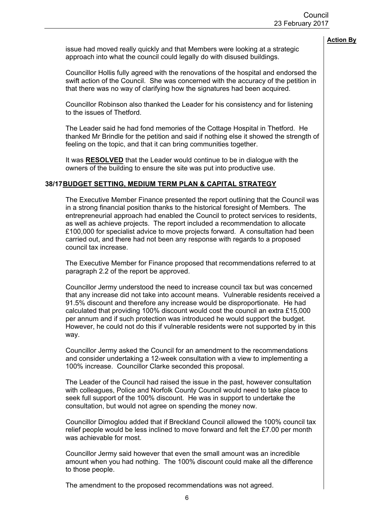issue had moved really quickly and that Members were looking at a strategic approach into what the council could legally do with disused buildings.

Councillor Hollis fully agreed with the renovations of the hospital and endorsed the swift action of the Council. She was concerned with the accuracy of the petition in that there was no way of clarifying how the signatures had been acquired.

Councillor Robinson also thanked the Leader for his consistency and for listening to the issues of Thetford.

The Leader said he had fond memories of the Cottage Hospital in Thetford. He thanked Mr Brindle for the petition and said if nothing else it showed the strength of feeling on the topic, and that it can bring communities together.

It was **RESOLVED** that the Leader would continue to be in dialogue with the owners of the building to ensure the site was put into productive use.

### **38/17BUDGET SETTING, MEDIUM TERM PLAN & CAPITAL STRATEGY**

The Executive Member Finance presented the report outlining that the Council was in a strong financial position thanks to the historical foresight of Members. The entrepreneurial approach had enabled the Council to protect services to residents, as well as achieve projects. The report included a recommendation to allocate £100,000 for specialist advice to move projects forward. A consultation had been carried out, and there had not been any response with regards to a proposed council tax increase.

The Executive Member for Finance proposed that recommendations referred to at paragraph 2.2 of the report be approved.

Councillor Jermy understood the need to increase council tax but was concerned that any increase did not take into account means. Vulnerable residents received a 91.5% discount and therefore any increase would be disproportionate. He had calculated that providing 100% discount would cost the council an extra £15,000 per annum and if such protection was introduced he would support the budget. However, he could not do this if vulnerable residents were not supported by in this way.

Councillor Jermy asked the Council for an amendment to the recommendations and consider undertaking a 12-week consultation with a view to implementing a 100% increase. Councillor Clarke seconded this proposal.

The Leader of the Council had raised the issue in the past, however consultation with colleagues, Police and Norfolk County Council would need to take place to seek full support of the 100% discount. He was in support to undertake the consultation, but would not agree on spending the money now.

Councillor Dimoglou added that if Breckland Council allowed the 100% council tax relief people would be less inclined to move forward and felt the £7.00 per month was achievable for most.

Councillor Jermy said however that even the small amount was an incredible amount when you had nothing. The 100% discount could make all the difference to those people.

The amendment to the proposed recommendations was not agreed.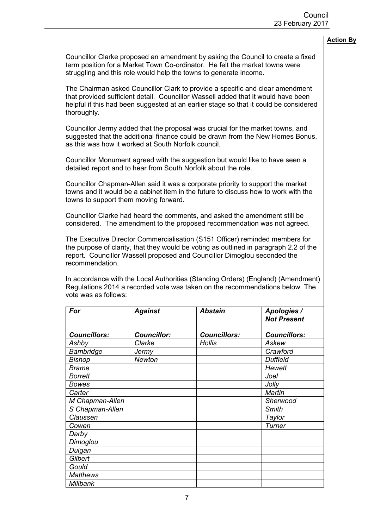Councillor Clarke proposed an amendment by asking the Council to create a fixed term position for a Market Town Co-ordinator. He felt the market towns were struggling and this role would help the towns to generate income.

The Chairman asked Councillor Clark to provide a specific and clear amendment that provided sufficient detail. Councillor Wassell added that it would have been helpful if this had been suggested at an earlier stage so that it could be considered thoroughly.

Councillor Jermy added that the proposal was crucial for the market towns, and suggested that the additional finance could be drawn from the New Homes Bonus, as this was how it worked at South Norfolk council.

Councillor Monument agreed with the suggestion but would like to have seen a detailed report and to hear from South Norfolk about the role.

Councillor Chapman-Allen said it was a corporate priority to support the market towns and it would be a cabinet item in the future to discuss how to work with the towns to support them moving forward.

Councillor Clarke had heard the comments, and asked the amendment still be considered. The amendment to the proposed recommendation was not agreed.

The Executive Director Commercialisation (S151 Officer) reminded members for the purpose of clarity, that they would be voting as outlined in paragraph 2.2 of the report. Councillor Wassell proposed and Councillor Dimoglou seconded the recommendation.

In accordance with the Local Authorities (Standing Orders) (England) (Amendment) Regulations 2014 a recorded vote was taken on the recommendations below. The vote was as follows:

| For                 | <b>Against</b>     | <b>Abstain</b>      | Apologies /         |
|---------------------|--------------------|---------------------|---------------------|
|                     |                    |                     | <b>Not Present</b>  |
| <b>Councillors:</b> | <b>Councillor:</b> | <b>Councillors:</b> | <b>Councillors:</b> |
| Ashby               | Clarke             | <b>Hollis</b>       | Askew               |
| <b>Bambridge</b>    | Jermy              |                     | Crawford            |
| <b>Bishop</b>       | <b>Newton</b>      |                     | <b>Duffield</b>     |
| <b>Brame</b>        |                    |                     | Hewett              |
| <b>Borrett</b>      |                    |                     | Joel                |
| <b>Bowes</b>        |                    |                     | Jolly               |
| Carter              |                    |                     | Martin              |
| M Chapman-Allen     |                    |                     | Sherwood            |
| S Chapman-Allen     |                    |                     | <b>Smith</b>        |
| Claussen            |                    |                     | Taylor              |
| Cowen               |                    |                     | Turner              |
| Darby               |                    |                     |                     |
| Dimoglou            |                    |                     |                     |
| Duigan              |                    |                     |                     |
| Gilbert             |                    |                     |                     |
| Gould               |                    |                     |                     |
| <b>Matthews</b>     |                    |                     |                     |
| Millbank            |                    |                     |                     |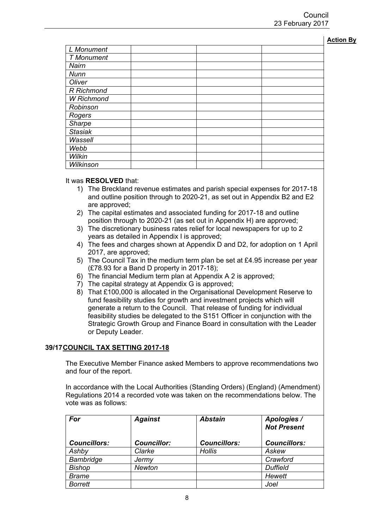| n<br>IO.<br>н<br>п<br>r | ш |
|-------------------------|---|
|                         |   |

| L Monument        |  |  |
|-------------------|--|--|
| <b>T</b> Monument |  |  |
| Nairn             |  |  |
| Nunn              |  |  |
| Oliver            |  |  |
| R Richmond        |  |  |
| <b>W</b> Richmond |  |  |
| Robinson          |  |  |
| Rogers            |  |  |
| <b>Sharpe</b>     |  |  |
| <b>Stasiak</b>    |  |  |
| Wassell           |  |  |
| Webb              |  |  |
| Wilkin            |  |  |
| Wilkinson         |  |  |

#### It was **RESOLVED** that:

- 1) The Breckland revenue estimates and parish special expenses for 2017-18 and outline position through to 2020-21, as set out in Appendix B2 and E2 are approved;
- 2) The capital estimates and associated funding for 2017-18 and outline position through to 2020-21 (as set out in Appendix H) are approved;
- 3) The discretionary business rates relief for local newspapers for up to 2 years as detailed in Appendix I is approved;
- 4) The fees and charges shown at Appendix D and D2, for adoption on 1 April 2017, are approved;
- 5) The Council Tax in the medium term plan be set at £4.95 increase per year (£78.93 for a Band D property in 2017-18);
- 6) The financial Medium term plan at Appendix A 2 is approved;
- 7) The capital strategy at Appendix G is approved;
- 8) That £100,000 is allocated in the Organisational Development Reserve to fund feasibility studies for growth and investment projects which will generate a return to the Council. That release of funding for individual feasibility studies be delegated to the S151 Officer in conjunction with the Strategic Growth Group and Finance Board in consultation with the Leader or Deputy Leader.

# **39/17COUNCIL TAX SETTING 2017-18**

The Executive Member Finance asked Members to approve recommendations two and four of the report.

In accordance with the Local Authorities (Standing Orders) (England) (Amendment) Regulations 2014 a recorded vote was taken on the recommendations below. The vote was as follows:

| For                 | <b>Against</b>     | <b>Abstain</b>      | Apologies /<br><b>Not Present</b> |
|---------------------|--------------------|---------------------|-----------------------------------|
| <b>Councillors:</b> | <b>Councillor:</b> | <b>Councillors:</b> | <b>Councillors:</b>               |
| Ashby               | Clarke             | Hollis              | Askew                             |
| <b>Bambridge</b>    | Jermy              |                     | Crawford                          |
| <b>Bishop</b>       | <b>Newton</b>      |                     | <b>Duffield</b>                   |
| <b>Brame</b>        |                    |                     | Hewett                            |
| <b>Borrett</b>      |                    |                     | Joel                              |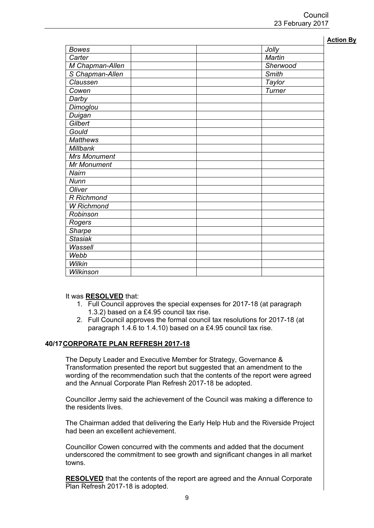|                     |              | <b>Action By</b> |
|---------------------|--------------|------------------|
| <b>Bowes</b>        | Jolly        |                  |
| Carter              | Martin       |                  |
| M Chapman-Allen     | Sherwood     |                  |
| S Chapman-Allen     | <b>Smith</b> |                  |
| Claussen            | Taylor       |                  |
| Cowen               | Turner       |                  |
| Darby               |              |                  |
| Dimoglou            |              |                  |
| Duigan              |              |                  |
| Gilbert             |              |                  |
| Gould               |              |                  |
| <b>Matthews</b>     |              |                  |
| Millbank            |              |                  |
| <b>Mrs Monument</b> |              |                  |
| <b>Mr Monument</b>  |              |                  |
| Nairn               |              |                  |
| Nunn                |              |                  |
| Oliver              |              |                  |
| R Richmond          |              |                  |
| <b>W</b> Richmond   |              |                  |
| Robinson            |              |                  |
| Rogers              |              |                  |
| Sharpe              |              |                  |
| <b>Stasiak</b>      |              |                  |
| Wassell             |              |                  |
| Webb                |              |                  |
| Wilkin              |              |                  |
| Wilkinson           |              |                  |

It was **RESOLVED** that:

- 1. Full Council approves the special expenses for 2017-18 (at paragraph 1.3.2) based on a £4.95 council tax rise.
- 2. Full Council approves the formal council tax resolutions for 2017-18 (at paragraph 1.4.6 to 1.4.10) based on a £4.95 council tax rise.

#### **40/17CORPORATE PLAN REFRESH 2017-18**

The Deputy Leader and Executive Member for Strategy, Governance & Transformation presented the report but suggested that an amendment to the wording of the recommendation such that the contents of the report were agreed and the Annual Corporate Plan Refresh 2017-18 be adopted.

Councillor Jermy said the achievement of the Council was making a difference to the residents lives.

The Chairman added that delivering the Early Help Hub and the Riverside Project had been an excellent achievement.

Councillor Cowen concurred with the comments and added that the document underscored the commitment to see growth and significant changes in all market towns.

**RESOLVED** that the contents of the report are agreed and the Annual Corporate Plan Refresh 2017-18 is adopted.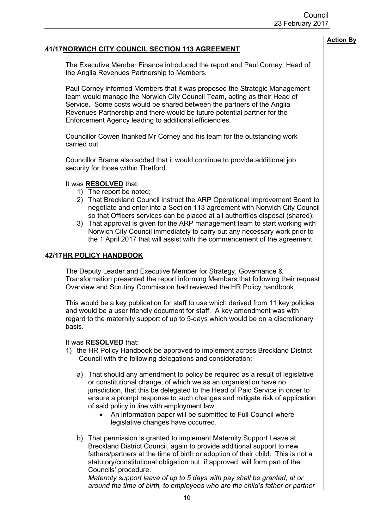# **41/17NORWICH CITY COUNCIL SECTION 113 AGREEMENT**

The Executive Member Finance introduced the report and Paul Corney, Head of the Anglia Revenues Partnership to Members.

Paul Corney informed Members that it was proposed the Strategic Management team would manage the Norwich City Council Team, acting as their Head of Service. Some costs would be shared between the partners of the Anglia Revenues Partnership and there would be future potential partner for the Enforcement Agency leading to additional efficiencies.

Councillor Cowen thanked Mr Corney and his team for the outstanding work carried out.

Councillor Brame also added that it would continue to provide additional job security for those within Thetford.

## It was **RESOLVED** that:

- 1) The report be noted;
- 2) That Breckland Council instruct the ARP Operational Improvement Board to negotiate and enter into a Section 113 agreement with Norwich City Council so that Officers services can be placed at all authorities disposal (shared);
- 3) That approval is given for the ARP management team to start working with Norwich City Council immediately to carry out any necessary work prior to the 1 April 2017 that will assist with the commencement of the agreement.

## **42/17HR POLICY HANDBOOK**

The Deputy Leader and Executive Member for Strategy, Governance & Transformation presented the report informing Members that following their request Overview and Scrutiny Commission had reviewed the HR Policy handbook.

This would be a key publication for staff to use which derived from 11 key policies and would be a user friendly document for staff. A key amendment was with regard to the maternity support of up to 5-days which would be on a discretionary basis.

#### It was **RESOLVED** that:

- 1) the HR Policy Handbook be approved to implement across Breckland District Council with the following delegations and consideration:
	- a) That should any amendment to policy be required as a result of legislative or constitutional change, of which we as an organisation have no jurisdiction, that this be delegated to the Head of Paid Service in order to ensure a prompt response to such changes and mitigate risk of application of said policy in line with employment law.
		- An information paper will be submitted to Full Council where legislative changes have occurred.
	- b) That permission is granted to implement Maternity Support Leave at Breckland District Council, again to provide additional support to new fathers/partners at the time of birth or adoption of their child. This is not a statutory/constitutional obligation but, if approved, will form part of the Councils' procedure.

*Maternity support leave of up to 5 days with pay shall be granted, at or around the time of birth, to employees who are the child's father or partner* **Action By**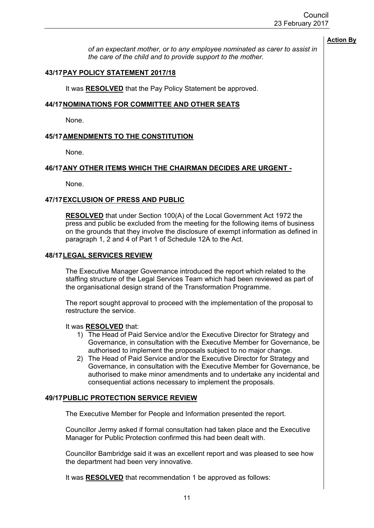*of an expectant mother, or to any employee nominated as carer to assist in the care of the child and to provide support to the mother.*

# **43/17PAY POLICY STATEMENT 2017/18**

It was **RESOLVED** that the Pay Policy Statement be approved.

# **44/17NOMINATIONS FOR COMMITTEE AND OTHER SEATS**

None.

# **45/17AMENDMENTS TO THE CONSTITUTION**

None.

# **46/17ANY OTHER ITEMS WHICH THE CHAIRMAN DECIDES ARE URGENT -**

None.

## **47/17EXCLUSION OF PRESS AND PUBLIC**

**RESOLVED** that under Section 100(A) of the Local Government Act 1972 the press and public be excluded from the meeting for the following items of business on the grounds that they involve the disclosure of exempt information as defined in paragraph 1, 2 and 4 of Part 1 of Schedule 12A to the Act.

## **48/17LEGAL SERVICES REVIEW**

The Executive Manager Governance introduced the report which related to the staffing structure of the Legal Services Team which had been reviewed as part of the organisational design strand of the Transformation Programme.

The report sought approval to proceed with the implementation of the proposal to restructure the service.

#### It was **RESOLVED** that:

- 1) The Head of Paid Service and/or the Executive Director for Strategy and Governance, in consultation with the Executive Member for Governance, be authorised to implement the proposals subject to no major change.
- 2) The Head of Paid Service and/or the Executive Director for Strategy and Governance, in consultation with the Executive Member for Governance, be authorised to make minor amendments and to undertake any incidental and consequential actions necessary to implement the proposals.

# **49/17PUBLIC PROTECTION SERVICE REVIEW**

The Executive Member for People and Information presented the report.

Councillor Jermy asked if formal consultation had taken place and the Executive Manager for Public Protection confirmed this had been dealt with.

Councillor Bambridge said it was an excellent report and was pleased to see how the department had been very innovative.

It was **RESOLVED** that recommendation 1 be approved as follows:

**Action By**